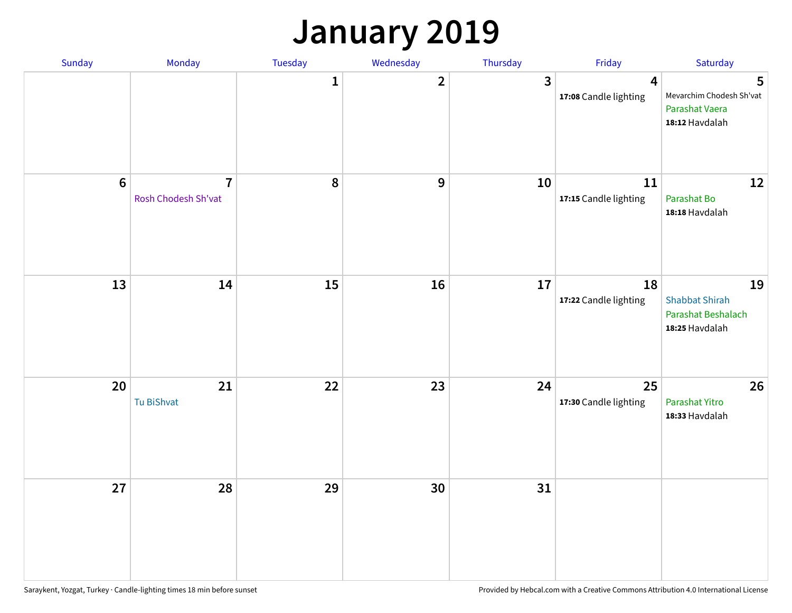### **January 2019**

| Sunday           | Monday                                | Tuesday      | Wednesday               | Thursday | Friday                                  | Saturday                                                            |
|------------------|---------------------------------------|--------------|-------------------------|----------|-----------------------------------------|---------------------------------------------------------------------|
|                  |                                       | $\mathbf{1}$ | $\overline{\mathbf{2}}$ | 3        | $\overline{4}$<br>17:08 Candle lighting | 5<br>Mevarchim Chodesh Sh'vat<br>Parashat Vaera<br>18:12 Havdalah   |
| $\boldsymbol{6}$ | $\overline{7}$<br>Rosh Chodesh Sh'vat | 8            | $\boldsymbol{9}$        | 10       | 11<br>17:15 Candle lighting             | 12<br>Parashat Bo<br>18:18 Havdalah                                 |
| 13               | 14                                    | 15           | 16                      | 17       | 18<br>17:22 Candle lighting             | 19<br><b>Shabbat Shirah</b><br>Parashat Beshalach<br>18:25 Havdalah |
| 20               | 21<br>Tu BiShvat                      | 22           | 23                      | 24       | 25<br>17:30 Candle lighting             | 26<br>Parashat Yitro<br>18:33 Havdalah                              |
| 27               | 28                                    | 29           | 30                      | 31       |                                         |                                                                     |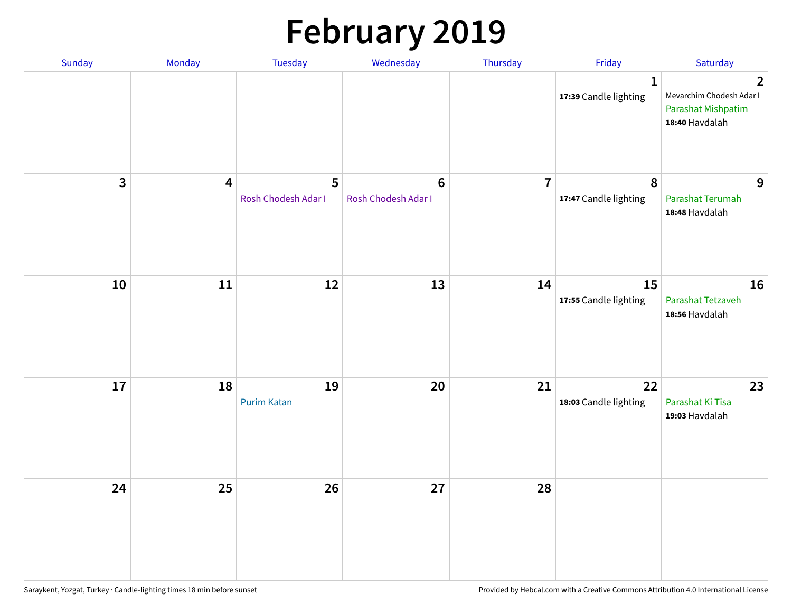# **February 2019**

| Sunday | Monday                  | Tuesday                  | Wednesday                      | Thursday       | Friday                                    | Saturday                                                                           |
|--------|-------------------------|--------------------------|--------------------------------|----------------|-------------------------------------------|------------------------------------------------------------------------------------|
|        |                         |                          |                                |                | $\mathbf{1}$<br>17:39 Candle lighting     | $\overline{2}$<br>Mevarchim Chodesh Adar I<br>Parashat Mishpatim<br>18:40 Havdalah |
| 3      | $\overline{\mathbf{4}}$ | 5<br>Rosh Chodesh Adar I | $\bf 6$<br>Rosh Chodesh Adar I | $\overline{7}$ | $\boldsymbol{8}$<br>17:47 Candle lighting | 9<br>Parashat Terumah<br>18:48 Havdalah                                            |
| 10     | ${\bf 11}$              | 12                       | 13                             | 14             | 15<br>17:55 Candle lighting               | 16<br>Parashat Tetzaveh<br>18:56 Havdalah                                          |
| 17     | 18                      | 19<br><b>Purim Katan</b> | 20                             | 21             | 22<br>18:03 Candle lighting               | 23<br>Parashat Ki Tisa<br>19:03 Havdalah                                           |
| 24     | 25                      | 26                       | 27                             | 28             |                                           |                                                                                    |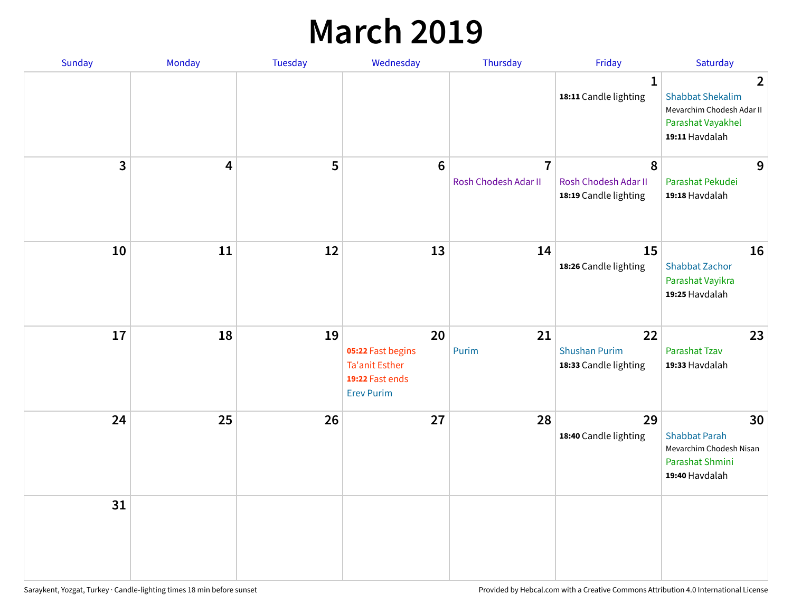### **March 2019**

| Sunday | Monday | Tuesday | Wednesday                                                                                | Thursday                               | Friday                                              | Saturday                                                                                                      |
|--------|--------|---------|------------------------------------------------------------------------------------------|----------------------------------------|-----------------------------------------------------|---------------------------------------------------------------------------------------------------------------|
|        |        |         |                                                                                          |                                        | $\mathbf{1}$<br>18:11 Candle lighting               | $\overline{2}$<br><b>Shabbat Shekalim</b><br>Mevarchim Chodesh Adar II<br>Parashat Vayakhel<br>19:11 Havdalah |
| 3      | 4      | 5       | $6\phantom{1}$                                                                           | $\overline{7}$<br>Rosh Chodesh Adar II | 8<br>Rosh Chodesh Adar II<br>18:19 Candle lighting  | 9<br>Parashat Pekudei<br>19:18 Havdalah                                                                       |
| 10     | 11     | 12      | 13                                                                                       | 14                                     | 15<br>18:26 Candle lighting                         | 16<br><b>Shabbat Zachor</b><br>Parashat Vayikra<br>19:25 Havdalah                                             |
| 17     | 18     | 19      | 20<br>05:22 Fast begins<br><b>Ta'anit Esther</b><br>19:22 Fast ends<br><b>Erev Purim</b> | 21<br>Purim                            | 22<br><b>Shushan Purim</b><br>18:33 Candle lighting | 23<br><b>Parashat Tzav</b><br>19:33 Havdalah                                                                  |
| 24     | 25     | 26      | 27                                                                                       | 28                                     | 29<br>18:40 Candle lighting                         | 30<br><b>Shabbat Parah</b><br>Mevarchim Chodesh Nisan<br>Parashat Shmini<br>19:40 Havdalah                    |
| 31     |        |         |                                                                                          |                                        |                                                     |                                                                                                               |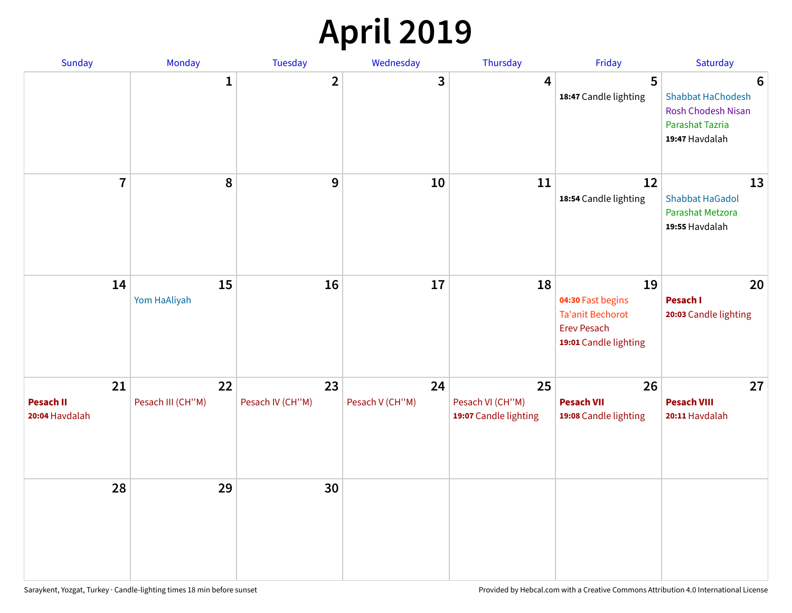## **April 2019**

| Sunday                                   | Monday                  | Tuesday                | Wednesday             | Thursday                                        | Friday                                                                                            | Saturday                                                                                 |
|------------------------------------------|-------------------------|------------------------|-----------------------|-------------------------------------------------|---------------------------------------------------------------------------------------------------|------------------------------------------------------------------------------------------|
|                                          | $\mathbf{1}$            | $\overline{2}$         | 3                     | $\overline{4}$                                  | 5<br>18:47 Candle lighting                                                                        | 6<br>Shabbat HaChodesh<br><b>Rosh Chodesh Nisan</b><br>Parashat Tazria<br>19:47 Havdalah |
| $\overline{7}$                           | 8                       | $\boldsymbol{9}$       | 10                    | 11                                              | 12<br>18:54 Candle lighting                                                                       | 13<br><b>Shabbat HaGadol</b><br>Parashat Metzora<br>19:55 Havdalah                       |
| 14                                       | 15<br>Yom HaAliyah      | 16                     | 17                    | 18                                              | 19<br>04:30 Fast begins<br><b>Ta'anit Bechorot</b><br><b>Erev Pesach</b><br>19:01 Candle lighting | 20<br>Pesach I<br>20:03 Candle lighting                                                  |
| 21<br><b>Pesach II</b><br>20:04 Havdalah | 22<br>Pesach III (CH"M) | 23<br>Pesach IV (CH"M) | 24<br>Pesach V (CH"M) | 25<br>Pesach VI (CH"M)<br>19:07 Candle lighting | 26<br><b>Pesach VII</b><br>19:08 Candle lighting                                                  | 27<br><b>Pesach VIII</b><br>20:11 Havdalah                                               |
| 28                                       | 29                      | 30                     |                       |                                                 |                                                                                                   |                                                                                          |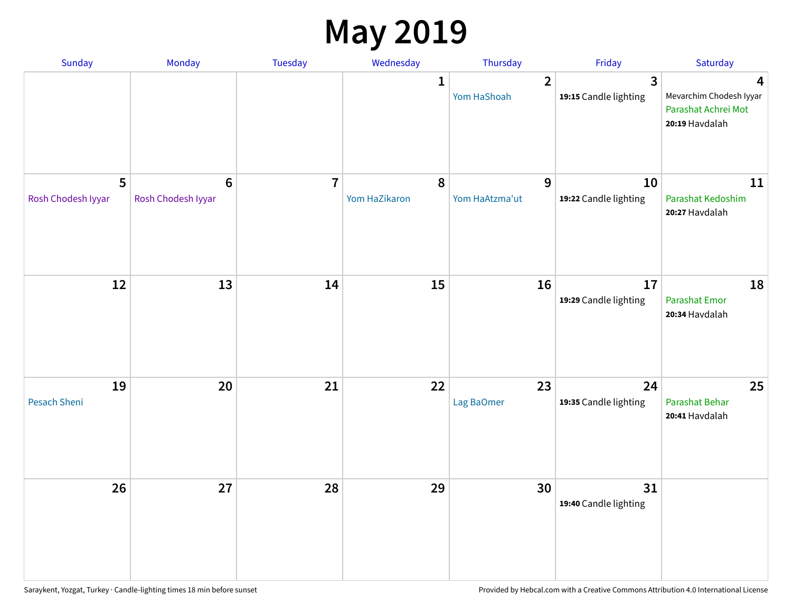### **May 2019**

| Sunday                    | Monday                                 | Tuesday                 | Wednesday                  | Thursday                      | Friday                                           | Saturday                                                              |
|---------------------------|----------------------------------------|-------------------------|----------------------------|-------------------------------|--------------------------------------------------|-----------------------------------------------------------------------|
|                           |                                        |                         | 1                          | $\overline{2}$<br>Yom HaShoah | $\overline{\mathbf{3}}$<br>19:15 Candle lighting | 4<br>Mevarchim Chodesh Iyyar<br>Parashat Achrei Mot<br>20:19 Havdalah |
| 5<br>Rosh Chodesh Iyyar   | $\boldsymbol{6}$<br>Rosh Chodesh Iyyar | $\overline{\mathbf{r}}$ | $\pmb{8}$<br>Yom HaZikaron | 9<br>Yom HaAtzma'ut           | 10<br>19:22 Candle lighting                      | 11<br>Parashat Kedoshim<br>20:27 Havdalah                             |
| 12                        | 13                                     | 14                      | 15                         | 16                            | 17<br>19:29 Candle lighting                      | 18<br>Parashat Emor<br>20:34 Havdalah                                 |
| 19<br><b>Pesach Sheni</b> | 20                                     | 21                      | 22                         | 23<br>Lag BaOmer              | 24<br>19:35 Candle lighting                      | 25<br>Parashat Behar<br>20:41 Havdalah                                |
| 26                        | 27                                     | 28                      | 29                         | 30                            | 31<br>19:40 Candle lighting                      |                                                                       |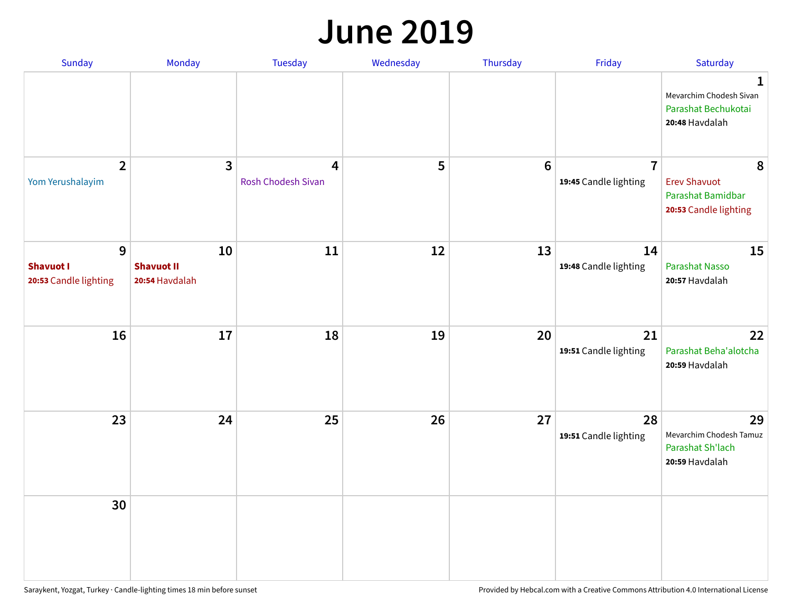#### **June 2019**

| Sunday                                         | Monday                                    | Tuesday                        | Wednesday | Thursday        | Friday                                  | Saturday                                                               |
|------------------------------------------------|-------------------------------------------|--------------------------------|-----------|-----------------|-----------------------------------------|------------------------------------------------------------------------|
|                                                |                                           |                                |           |                 |                                         | 1<br>Mevarchim Chodesh Sivan<br>Parashat Bechukotai<br>20:48 Havdalah  |
| $\overline{2}$<br>Yom Yerushalayim             | $\mathbf{3}$                              | 4<br><b>Rosh Chodesh Sivan</b> | 5         | $6\phantom{1}6$ | $\overline{7}$<br>19:45 Candle lighting | 8<br><b>Erev Shavuot</b><br>Parashat Bamidbar<br>20:53 Candle lighting |
| 9<br><b>Shavuot I</b><br>20:53 Candle lighting | 10<br><b>Shavuot II</b><br>20:54 Havdalah | 11                             | 12        | 13              | 14<br>19:48 Candle lighting             | 15<br><b>Parashat Nasso</b><br>20:57 Havdalah                          |
| 16                                             | 17                                        | 18                             | 19        | 20              | 21<br>19:51 Candle lighting             | 22<br>Parashat Beha'alotcha<br>20:59 Havdalah                          |
| 23                                             | 24                                        | 25                             | 26        | 27              | 28<br>19:51 Candle lighting             | 29<br>Mevarchim Chodesh Tamuz<br>Parashat Sh'lach<br>20:59 Havdalah    |
| 30                                             |                                           |                                |           |                 |                                         |                                                                        |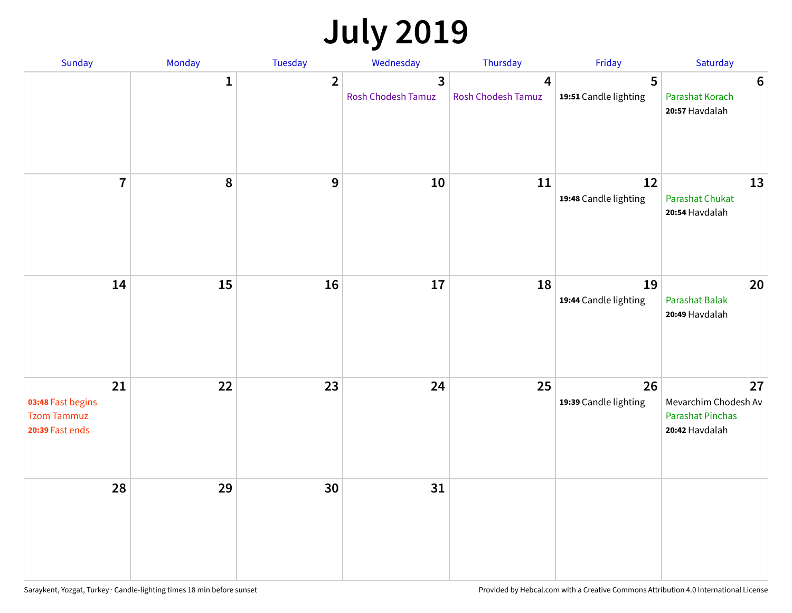## **July 2019**

| Sunday                                                           | Monday       | Tuesday        | Wednesday                                            | Thursday                | Friday                      | Saturday                                                                |
|------------------------------------------------------------------|--------------|----------------|------------------------------------------------------|-------------------------|-----------------------------|-------------------------------------------------------------------------|
|                                                                  | $\mathbf{1}$ | $\overline{2}$ | $\overline{\mathbf{3}}$<br><b>Rosh Chodesh Tamuz</b> | 4<br>Rosh Chodesh Tamuz | 5<br>19:51 Candle lighting  | $6\phantom{1}6$<br>Parashat Korach<br>20:57 Havdalah                    |
| $\overline{7}$                                                   | 8            | $\overline{9}$ | 10                                                   | 11                      | 12<br>19:48 Candle lighting | 13<br><b>Parashat Chukat</b><br>20:54 Havdalah                          |
| 14                                                               | 15           | 16             | 17                                                   | 18                      | 19<br>19:44 Candle lighting | 20<br><b>Parashat Balak</b><br>20:49 Havdalah                           |
| 21<br>03:48 Fast begins<br><b>Tzom Tammuz</b><br>20:39 Fast ends | 22           | 23             | 24                                                   | 25                      | 26<br>19:39 Candle lighting | 27<br>Mevarchim Chodesh Av<br><b>Parashat Pinchas</b><br>20:42 Havdalah |
| 28                                                               | 29           | 30             | 31                                                   |                         |                             |                                                                         |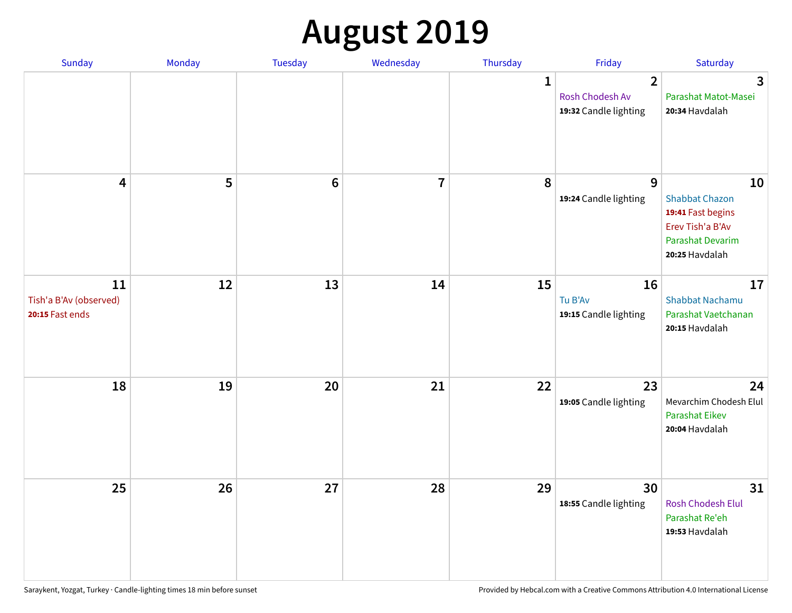# **August 2019**

| <b>Sunday</b>                                   | Monday | Tuesday         | Wednesday               | Thursday     | Friday                                                     | Saturday                                                                                                   |
|-------------------------------------------------|--------|-----------------|-------------------------|--------------|------------------------------------------------------------|------------------------------------------------------------------------------------------------------------|
|                                                 |        |                 |                         | $\mathbf{1}$ | $\overline{2}$<br>Rosh Chodesh Av<br>19:32 Candle lighting | $\overline{\mathbf{3}}$<br>Parashat Matot-Masei<br>20:34 Havdalah                                          |
| $\overline{\mathbf{4}}$                         | 5      | $6\phantom{1}6$ | $\overline{\mathbf{I}}$ | 8            | 9<br>19:24 Candle lighting                                 | 10<br><b>Shabbat Chazon</b><br>19:41 Fast begins<br>Erev Tish'a B'Av<br>Parashat Devarim<br>20:25 Havdalah |
| 11<br>Tish'a B'Av (observed)<br>20:15 Fast ends | 12     | 13              | 14                      | 15           | 16<br>Tu B'Av<br>19:15 Candle lighting                     | 17<br><b>Shabbat Nachamu</b><br>Parashat Vaetchanan<br>20:15 Havdalah                                      |
| 18                                              | 19     | 20              | 21                      | 22           | 23<br>19:05 Candle lighting                                | 24<br>Mevarchim Chodesh Elul<br><b>Parashat Eikev</b><br>20:04 Havdalah                                    |
| 25                                              | 26     | 27              | 28                      | 29           | 30<br>18:55 Candle lighting                                | 31<br><b>Rosh Chodesh Elul</b><br>Parashat Re'eh<br>19:53 Havdalah                                         |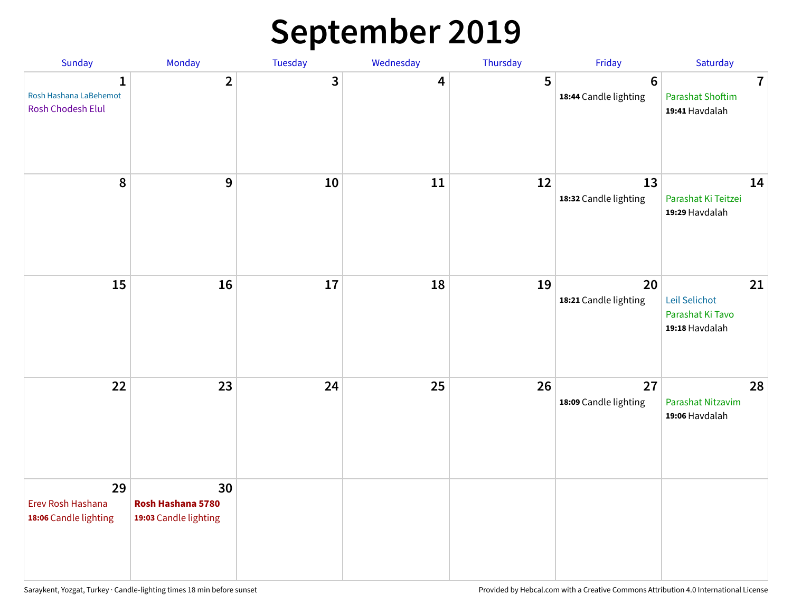## **September 2019**

| Sunday                                                      | Monday                                           | Tuesday | Wednesday | Thursday | Friday                                   | Saturday                                                             |
|-------------------------------------------------------------|--------------------------------------------------|---------|-----------|----------|------------------------------------------|----------------------------------------------------------------------|
| $\mathbf{1}$<br>Rosh Hashana LaBehemot<br>Rosh Chodesh Elul | $\overline{2}$                                   | 3       | 4         | 5        | $6\phantom{1}6$<br>18:44 Candle lighting | $\overline{\mathbf{7}}$<br><b>Parashat Shoftim</b><br>19:41 Havdalah |
| 8                                                           | 9                                                | 10      | 11        | 12       | 13<br>18:32 Candle lighting              | 14<br>Parashat Ki Teitzei<br>19:29 Havdalah                          |
| 15                                                          | 16                                               | 17      | 18        | 19       | 20<br>18:21 Candle lighting              | 21<br>Leil Selichot<br>Parashat Ki Tavo<br>19:18 Havdalah            |
| 22                                                          | 23                                               | 24      | 25        | 26       | 27<br>18:09 Candle lighting              | 28<br>Parashat Nitzavim<br>19:06 Havdalah                            |
| 29<br>Erev Rosh Hashana<br>18:06 Candle lighting            | 30<br>Rosh Hashana 5780<br>19:03 Candle lighting |         |           |          |                                          |                                                                      |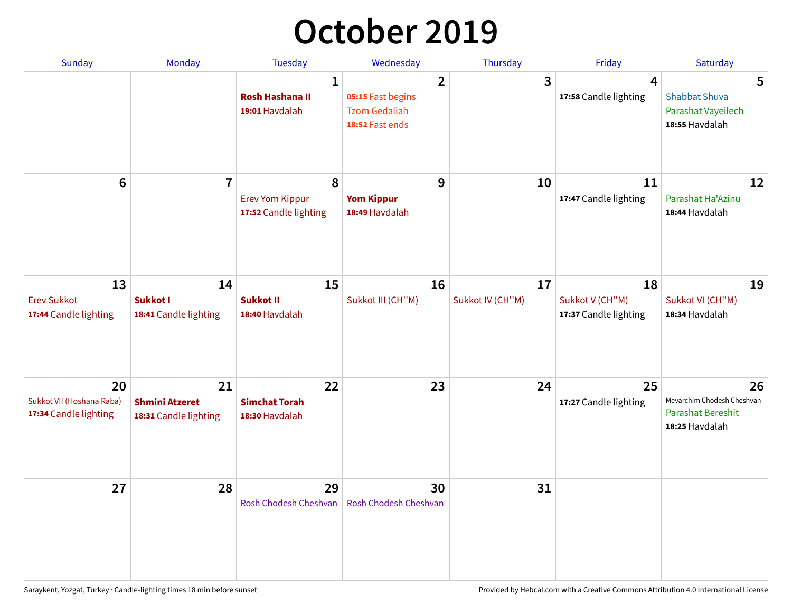## **October 2019**

| <b>Sunday</b>                                            | <b>Monday</b>                                        | <b>Tuesday</b>                                           | Wednesday                                                                      | Thursday               | Friday                                         | Saturday                                                                       |
|----------------------------------------------------------|------------------------------------------------------|----------------------------------------------------------|--------------------------------------------------------------------------------|------------------------|------------------------------------------------|--------------------------------------------------------------------------------|
|                                                          |                                                      | $\mathbf{1}$<br><b>Rosh Hashana II</b><br>19:01 Havdalah | $\overline{2}$<br>05:15 Fast begins<br><b>Tzom Gedaliah</b><br>18:52 Fast ends | 3                      | 4<br>17:58 Candle lighting                     | 5<br><b>Shabbat Shuva</b><br>Parashat Vayeilech<br>18:55 Havdalah              |
| $6\phantom{1}$                                           | $\overline{7}$                                       | 8<br><b>Erev Yom Kippur</b><br>17:52 Candle lighting     | 9<br><b>Yom Kippur</b><br>18:49 Havdalah                                       | 10                     | 11<br>17:47 Candle lighting                    | 12<br>Parashat Ha'Azinu<br>18:44 Havdalah                                      |
| 13<br><b>Erev Sukkot</b><br>17:44 Candle lighting        | 14<br>Sukkot I<br>18:41 Candle lighting              | 15<br><b>Sukkot II</b><br>18:40 Havdalah                 | 16<br>Sukkot III (CH"M)                                                        | 17<br>Sukkot IV (CH"M) | 18<br>Sukkot V (CH"M)<br>17:37 Candle lighting | 19<br>Sukkot VI (CH"M)<br>18:34 Havdalah                                       |
| 20<br>Sukkot VII (Hoshana Raba)<br>17:34 Candle lighting | 21<br><b>Shmini Atzeret</b><br>18:31 Candle lighting | 22<br><b>Simchat Torah</b><br>18:30 Havdalah             | 23                                                                             | 24                     | 25<br>17:27 Candle lighting                    | 26<br>Mevarchim Chodesh Cheshvan<br><b>Parashat Bereshit</b><br>18:25 Havdalah |
| 27                                                       | 28                                                   | 29<br>Rosh Chodesh Cheshvan                              | 30<br>Rosh Chodesh Cheshvan                                                    | 31                     |                                                |                                                                                |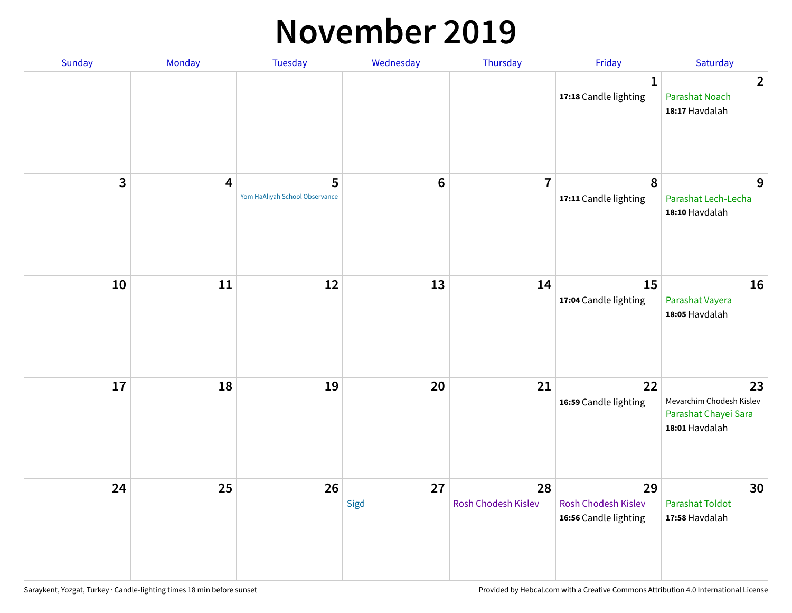#### **November 2019**

| Sunday | Monday                  | <b>Tuesday</b>                      | Wednesday      | Thursday                  | Friday                                                    | Saturday                                                                 |
|--------|-------------------------|-------------------------------------|----------------|---------------------------|-----------------------------------------------------------|--------------------------------------------------------------------------|
|        |                         |                                     |                |                           | $\mathbf{1}$<br>17:18 Candle lighting                     | $\overline{2}$<br><b>Parashat Noach</b><br>18:17 Havdalah                |
| 3      | $\overline{\mathbf{4}}$ | 5<br>Yom HaAliyah School Observance | $6\phantom{1}$ | $\overline{7}$            | 8<br>17:11 Candle lighting                                | 9<br>Parashat Lech-Lecha<br>18:10 Havdalah                               |
| 10     | 11                      | 12                                  | 13             | 14                        | 15<br>17:04 Candle lighting                               | 16<br>Parashat Vayera<br>18:05 Havdalah                                  |
| 17     | 18                      | 19                                  | 20             | 21                        | 22<br>16:59 Candle lighting                               | 23<br>Mevarchim Chodesh Kislev<br>Parashat Chayei Sara<br>18:01 Havdalah |
| 24     | 25                      | 26                                  | 27<br>Sigd     | 28<br>Rosh Chodesh Kislev | 29<br><b>Rosh Chodesh Kislev</b><br>16:56 Candle lighting | 30<br><b>Parashat Toldot</b><br>17:58 Havdalah                           |